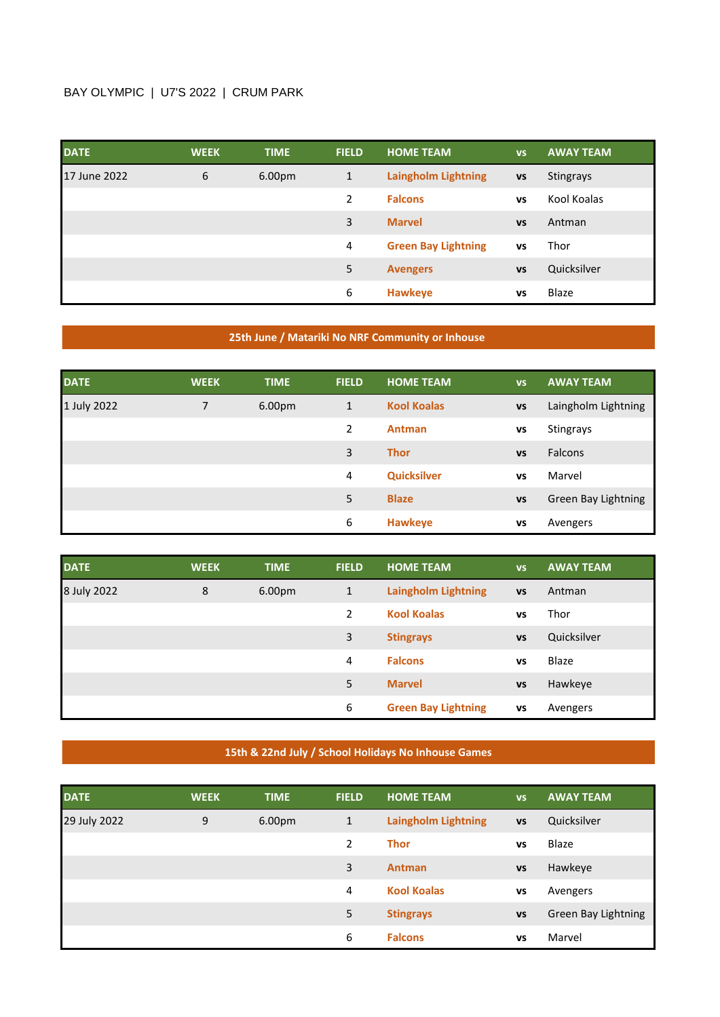## BAY OLYMPIC | U7'S 2022 | CRUM PARK

| <b>DATE</b>  | <b>WEEK</b> | <b>TIME</b> | <b>FIELD</b> | <b>HOME TEAM</b>           | <b>VS</b> | <b>AWAY TEAM</b> |
|--------------|-------------|-------------|--------------|----------------------------|-----------|------------------|
| 17 June 2022 | 6           | 6.00pm      | $\mathbf{1}$ | <b>Laingholm Lightning</b> | <b>VS</b> | <b>Stingrays</b> |
|              |             |             | 2            | <b>Falcons</b>             | <b>VS</b> | Kool Koalas      |
|              |             |             | 3            | <b>Marvel</b>              | <b>VS</b> | Antman           |
|              |             |             | 4            | <b>Green Bay Lightning</b> | <b>VS</b> | Thor             |
|              |             |             | 5            | <b>Avengers</b>            | <b>VS</b> | Quicksilver      |
|              |             |             | 6            | <b>Hawkeye</b>             | VS        | Blaze            |

## **25th June / Matariki No NRF Community or Inhouse**

| <b>DATE</b> | <b>WEEK</b> | <b>TIME</b>        | <b>FIELD</b> | <b>HOME TEAM</b>   | <b>VS</b> | <b>AWAY TEAM</b>    |
|-------------|-------------|--------------------|--------------|--------------------|-----------|---------------------|
| 1 July 2022 | 7           | 6.00 <sub>pm</sub> | 1            | <b>Kool Koalas</b> | <b>VS</b> | Laingholm Lightning |
|             |             |                    | 2            | <b>Antman</b>      | vs        | <b>Stingrays</b>    |
|             |             |                    | 3            | <b>Thor</b>        | <b>VS</b> | <b>Falcons</b>      |
|             |             |                    | 4            | <b>Quicksilver</b> | <b>VS</b> | Marvel              |
|             |             |                    | 5            | <b>Blaze</b>       | <b>VS</b> | Green Bay Lightning |
|             |             |                    | 6            | <b>Hawkeye</b>     | vs        | Avengers            |

| <b>DATE</b> | <b>WEEK</b> | <b>TIME</b>        | <b>FIELD</b> | <b>HOME TEAM</b>           | <b>VS</b> | <b>AWAY TEAM</b> |
|-------------|-------------|--------------------|--------------|----------------------------|-----------|------------------|
| 8 July 2022 | 8           | 6.00 <sub>pm</sub> | 1            | <b>Laingholm Lightning</b> | <b>VS</b> | Antman           |
|             |             |                    | 2            | <b>Kool Koalas</b>         | VS        | Thor             |
|             |             |                    | 3            | <b>Stingrays</b>           | <b>VS</b> | Quicksilver      |
|             |             |                    | 4            | <b>Falcons</b>             | VS        | Blaze            |
|             |             |                    | 5            | <b>Marvel</b>              | <b>VS</b> | Hawkeye          |
|             |             |                    | 6            | <b>Green Bay Lightning</b> | VS        | Avengers         |

## **15th & 22nd July / School Holidays No Inhouse Games**

| <b>DATE</b>  | <b>WEEK</b> | <b>TIME</b> | <b>FIELD</b> | <b>HOME TEAM</b>           | <b>VS</b> | <b>AWAY TEAM</b>           |
|--------------|-------------|-------------|--------------|----------------------------|-----------|----------------------------|
| 29 July 2022 | 9           | 6.00pm      | 1            | <b>Laingholm Lightning</b> | <b>VS</b> | Quicksilver                |
|              |             |             | 2            | <b>Thor</b>                | VS        | Blaze                      |
|              |             |             | 3            | <b>Antman</b>              | <b>VS</b> | Hawkeye                    |
|              |             |             | 4            | <b>Kool Koalas</b>         | VS        | Avengers                   |
|              |             |             | 5            | <b>Stingrays</b>           | <b>VS</b> | <b>Green Bay Lightning</b> |
|              |             |             | 6            | <b>Falcons</b>             | <b>VS</b> | Marvel                     |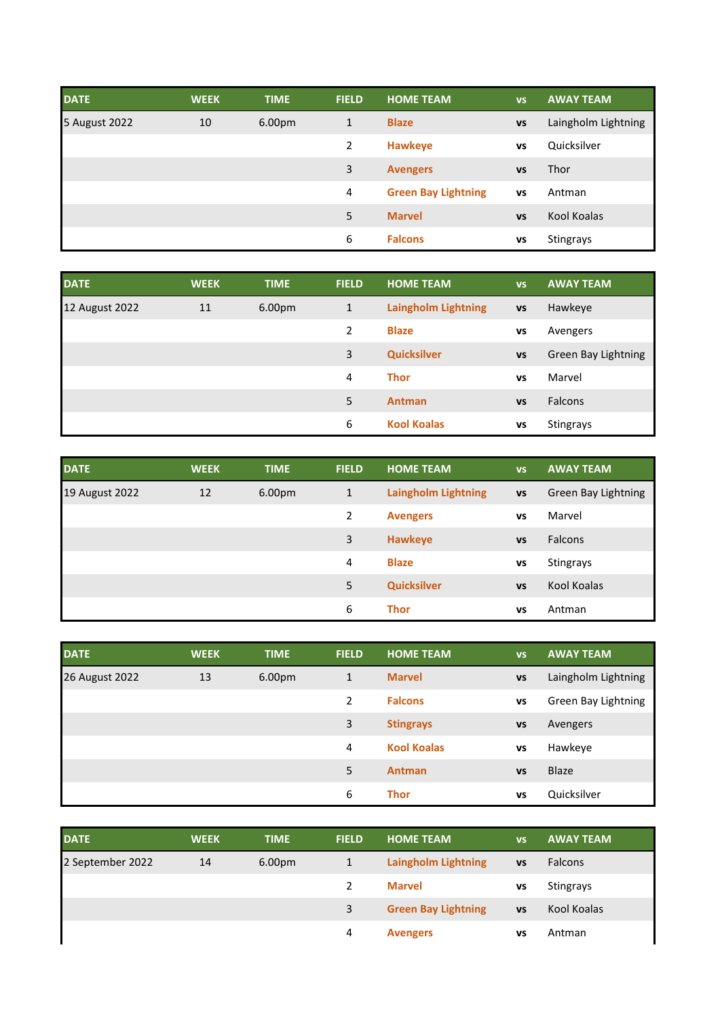| <b>DATE</b>   | <b>WEEK</b> | <b>TIME</b> | <b>FIELD</b> | <b>HOME TEAM</b>           | <b>VS</b> | <b>AWAY TEAM</b>    |
|---------------|-------------|-------------|--------------|----------------------------|-----------|---------------------|
| 5 August 2022 | 10          | 6.00pm      | $\mathbf{1}$ | <b>Blaze</b>               | <b>VS</b> | Laingholm Lightning |
|               |             |             | 2            | <b>Hawkeye</b>             | VS        | Quicksilver         |
|               |             |             | 3            | <b>Avengers</b>            | <b>VS</b> | Thor                |
|               |             |             | 4            | <b>Green Bay Lightning</b> | VS        | Antman              |
|               |             |             | 5            | <b>Marvel</b>              | <b>VS</b> | Kool Koalas         |
|               |             |             | 6            | <b>Falcons</b>             | VS        | <b>Stingrays</b>    |

| <b>DATE</b>    | <b>WEEK</b> | <b>TIME</b>        | <b>FIELD</b> | <b>HOME TEAM</b>           | <b>VS</b> | <b>AWAY TEAM</b>    |
|----------------|-------------|--------------------|--------------|----------------------------|-----------|---------------------|
| 12 August 2022 | 11          | 6.00 <sub>pm</sub> | 1            | <b>Laingholm Lightning</b> | <b>VS</b> | Hawkeye             |
|                |             |                    | 2            | <b>Blaze</b>               | vs        | Avengers            |
|                |             |                    | 3            | <b>Quicksilver</b>         | <b>VS</b> | Green Bay Lightning |
|                |             |                    | 4            | <b>Thor</b>                | <b>VS</b> | Marvel              |
|                |             |                    | 5            | <b>Antman</b>              | <b>VS</b> | <b>Falcons</b>      |
|                |             |                    | 6            | <b>Kool Koalas</b>         | VS        | <b>Stingrays</b>    |

| <b>DATE</b>    | <b>WEEK</b> | <b>TIME</b> | <b>FIELD</b> | <b>HOME TEAM</b>           | <b>VS</b> | <b>AWAY TEAM</b>    |
|----------------|-------------|-------------|--------------|----------------------------|-----------|---------------------|
| 19 August 2022 | 12          | 6.00pm      | 1            | <b>Laingholm Lightning</b> | <b>VS</b> | Green Bay Lightning |
|                |             |             | 2            | <b>Avengers</b>            | VS        | Marvel              |
|                |             |             | 3            | <b>Hawkeye</b>             | <b>VS</b> | <b>Falcons</b>      |
|                |             |             | 4            | <b>Blaze</b>               | vs        | <b>Stingrays</b>    |
|                |             |             | 5            | <b>Quicksilver</b>         | <b>VS</b> | Kool Koalas         |
|                |             |             | 6            | <b>Thor</b>                | VS        | Antman              |

| <b>DATE</b>    | <b>WEEK</b> | <b>TIME</b> | <b>FIELD</b> | <b>HOME TEAM</b>   | <b>VS</b> | <b>AWAY TEAM</b>    |
|----------------|-------------|-------------|--------------|--------------------|-----------|---------------------|
| 26 August 2022 | 13          | 6.00pm      | $\mathbf{1}$ | <b>Marvel</b>      | <b>VS</b> | Laingholm Lightning |
|                |             |             | 2            | <b>Falcons</b>     | <b>VS</b> | Green Bay Lightning |
|                |             |             | 3            | <b>Stingrays</b>   | <b>VS</b> | Avengers            |
|                |             |             | 4            | <b>Kool Koalas</b> | <b>VS</b> | Hawkeye             |
|                |             |             | 5            | <b>Antman</b>      | <b>VS</b> | <b>Blaze</b>        |
|                |             |             | 6            | <b>Thor</b>        | VS        | Quicksilver         |

| <b>DATE</b>      | <b>WEEK</b> | <b>TIME</b>        | <b>FIELD</b> | <b>HOME TEAM</b>           | <b>VS</b> | <b>AWAY TEAM</b> |
|------------------|-------------|--------------------|--------------|----------------------------|-----------|------------------|
| 2 September 2022 | 14          | 6.00 <sub>pm</sub> | 1            | <b>Laingholm Lightning</b> | <b>VS</b> | Falcons          |
|                  |             |                    | 2            | <b>Marvel</b>              | VS        | Stingrays        |
|                  |             |                    | 3            | <b>Green Bay Lightning</b> | <b>VS</b> | Kool Koalas      |
|                  |             |                    | 4            | <b>Avengers</b>            | VS        | Antman           |